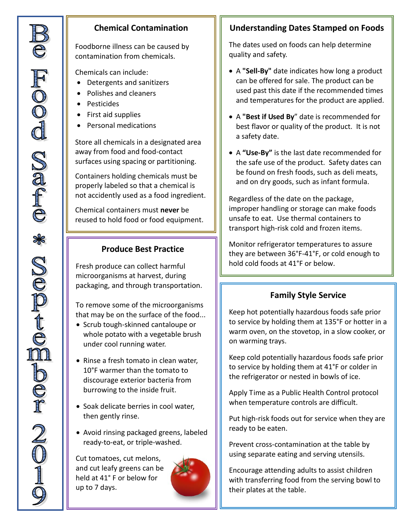#### **Chemical Contamination**

Foodborne illness can be caused by contamination from chemicals.

Chemicals can include:

- Detergents and sanitizers
- Polishes and cleaners
- Pesticides
- First aid supplies
- Personal medications

Store all chemicals in a designated area away from food and food-contact surfaces using spacing or partitioning.

Containers holding chemicals must be properly labeled so that a chemical is not accidently used as a food ingredient.

Chemical containers must **never** be reused to hold food or food equipment.

#### **Produce Best Practice**

Fresh produce can collect harmful microorganisms at harvest, during packaging, and through transportation.

To remove some of the microorganisms that may be on the surface of the food...

- Scrub tough-skinned cantaloupe or whole potato with a vegetable brush under cool running water.
- Rinse a fresh tomato in clean water, 10°F warmer than the tomato to discourage exterior bacteria from burrowing to the inside fruit.
- Soak delicate berries in cool water, then gently rinse.
- Avoid rinsing packaged greens, labeled ready-to-eat, or triple-washed.

Cut tomatoes, cut melons, and cut leafy greens can be held at 41° F or below for up to 7 days.



## **Understanding Dates Stamped on Foods**

The dates used on foods can help determine quality and safety.

- A **"Sell-By"** date indicates how long a product can be offered for sale. The product can be used past this date if the recommended times and temperatures for the product are applied.
- A **"Best if Used By**" date is recommended for best flavor or quality of the product. It is not a safety date.
- A **"Use-By"** is the last date recommended for the safe use of the product. Safety dates can be found on fresh foods, such as deli meats, and on dry goods, such as infant formula.

Regardless of the date on the package, improper handling or storage can make foods unsafe to eat. Use thermal containers to transport high-risk cold and frozen items.

Monitor refrigerator temperatures to assure they are between 36°F-41°F, or cold enough to hold cold foods at 41°F or below.

#### **Family Style Service**

Keep hot potentially hazardous foods safe prior to service by holding them at 135°F or hotter in a warm oven, on the stovetop, in a slow cooker, or on warming trays.

Keep cold potentially hazardous foods safe prior to service by holding them at 41°F or colder in the refrigerator or nested in bowls of ice.

Apply Time as a Public Health Control protocol when temperature controls are difficult.

Put high-risk foods out for service when they are ready to be eaten.

Prevent cross-contamination at the table by using separate eating and serving utensils.

Encourage attending adults to assist children with transferring food from the serving bowl to their plates at the table.